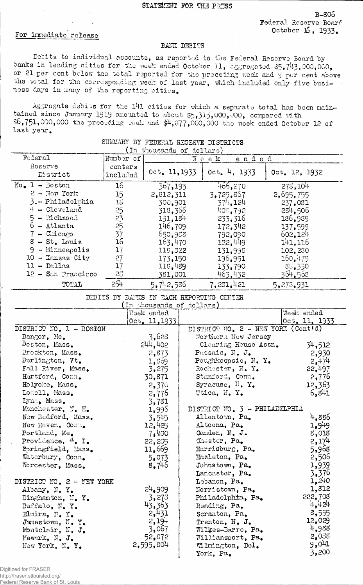## For immediate release

## BANK DEBITS

Debits to individual accounts, as reported to the Federal Reserve Board by banks in leading cities for the week ended October 11, aggregated  $$5,7^{11}3,000,000$ , or 21 per cent below the total reported for the preceding week and 9 per cent above the total, for the corresponding: week of last year, which included only five business days in many of the reporting cities.

Aggregate debits for the 141 cities for which a separate total has been maintained since January 1919 amounted to about \$5,315,000,000, compared with \$6,751,000,000 the preceding week and \$4,377,000,000 the week ended October 12 of last year.

| (In thousands of dollars) |           |                      |              |               |  |  |
|---------------------------|-----------|----------------------|--------------|---------------|--|--|
| Federal                   | Number of | $\pi$ e e k<br>ended |              |               |  |  |
| Reserve                   | centers   |                      |              |               |  |  |
| District                  | included  | Oct. 11, 1933        | 0ct. 4, 1933 | Oct. 12, 1932 |  |  |
| $No = 1 - Boston$         | 16        | 367,195              | 466,270      | 278,104       |  |  |
| $2 -$ New York            | 15        | 2,812,311            | 3,725,867    | 2,695,755     |  |  |
| 3.- Philadelphia          | 13        | 300,901              | 374.124      | 237,031       |  |  |
| 4 - Cleveland             | 25        | 318,366              | 403,792      | 284,506       |  |  |
| $5 -$ Richmond            | 23<br>25  | 191,184              | 233,316      | 186,939       |  |  |
| $6 -$ Atlanta             |           | 146,709              | 172,342      | 137,599       |  |  |
| $-$ Chicago               | 37        | 650,955              | 792,090      | 602, 124      |  |  |
| $8 - St$ . Louis          | 16        | 163,470              | 132.449      | 141,116       |  |  |
| 9<br>- Minneapolis        | 17        | 118,322              | 131,995      | 102,230       |  |  |
| $10 -$ Kansas City        | 27        | 173,150              | 196,951      | 160,479       |  |  |
| $11 - D0110$              | 17        | 118,489              | 133,790      | 85,330        |  |  |
| 12 - San Francisco        | 25        | 381,001              | 463,432      | 364,508       |  |  |
| TOTAL                     | 264       | 5,742,586            | 7,251,421    | 5,273,931     |  |  |

## SUMMARY BY FEDERAL RESERVE DISTRICTS

DEBITS BY 3A2KS IN EACH REPORTING CENTER

| In thousands of dollars)             |               |                                    |               |  |  |  |
|--------------------------------------|---------------|------------------------------------|---------------|--|--|--|
|                                      | Week ended    |                                    | Week ended    |  |  |  |
|                                      | Oct. 11, 1933 |                                    | Oct. 11, 1933 |  |  |  |
| DISTRICT NO. 1 - BOSTON              |               | DISTRICT NO. 2 - NEW YORK (Cont'd) |               |  |  |  |
| Bangor, Me.                          | 3,628         | Northern New Jersey                |               |  |  |  |
| Boston, Mass.                        | 244, 402      | Clearing House Assn.               | 34,512        |  |  |  |
| Brockton, Mass.                      | 2,873         | Passaic, N. J.                     | 2,930         |  |  |  |
| Burlington, $Vt_{\bullet}$           | 1,369         | Poughkoopsie, N.Y.                 | 2,474         |  |  |  |
| Fall River, Mass.                    | 3,275         | Rochester, N. Y.                   | 22,497        |  |  |  |
| Hartford, Conn.                      | 30,871        | Stamford, Conn.                    | 2,776         |  |  |  |
| Holyoke, Mass.                       | 2,370         | Syracuse, $\mathbb{N}$ . Y.        | 12,363        |  |  |  |
| Lowell, Mass.                        | 2,776         | Utica, N. Y.                       | 6,841         |  |  |  |
| Lynn, Mass.                          | 3,781         |                                    |               |  |  |  |
| Monchester, N. H.                    | 1,996         | DISTRICT NO. $3$ - PHILADELPHIA    |               |  |  |  |
| New Bedford, Mass.                   | 3.545         | Allentown, Pa.                     | 4,886         |  |  |  |
| New Haven, Comm.                     | 12,425        | Altoona, Pa.                       | $1,9^{49}$    |  |  |  |
| Portland, Me.                        | 7.450         | Canden, N. J.                      | 8,018         |  |  |  |
| Providence, <sup>H</sup> . I.        | 22,255        | Chester, Pa.                       | 2,174         |  |  |  |
| Springfield, Mass.                   | 11,669        | Harrisburg, Pa.                    | 5,968         |  |  |  |
| Waterbury, Conn.                     | 5,073         | Hazleton, Pa.                      | 2,506         |  |  |  |
| Worcester, Mass.                     | 8,746         | Johnstown, Pa.                     | 1,939         |  |  |  |
|                                      |               | Lancaster, Pa.                     | 3,376         |  |  |  |
| DISTRICT NO. 2 - NEW YORK            |               | Lebanon, Pa.                       | 1,240         |  |  |  |
| Albany, N.Y.                         | 24,909        | Norristown, Pa.                    | 1,812         |  |  |  |
| Binghamton, N.Y.                     | 3,278         | Philadelphia, Pa.                  | 222,708       |  |  |  |
| Buffalo, N.Y.                        | 43,363        | Reading, Pa.                       | 4,424         |  |  |  |
| Elmira, N.Y.                         | 2,431         | Scranton, Pa.                      | 8,555         |  |  |  |
| Jamestown, $\mathbb{N}_{\bullet}$ Y. | 2,194         | Trenton, $N_{\bullet}$ J.          | 12,029        |  |  |  |
| Montclair, N. J.                     | 3,067         | Wilkes-Barre, Pa.                  | 4,988         |  |  |  |
| Newark, N. J.                        | 52,872        | Williamsport, Pa.                  | 2,038         |  |  |  |
| New York, N.Y.                       | 2,595,804     | Wilmington, Del.                   | 9,041         |  |  |  |
|                                      |               | York, Pa.                          | 3,200         |  |  |  |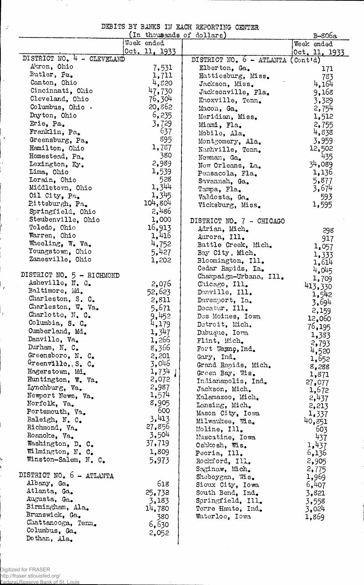| DEBITS BY BANKS IN EACH REPORTING CENTER |  |  |  |  |
|------------------------------------------|--|--|--|--|
|                                          |  |  |  |  |

 $\hat{\boldsymbol{\theta}}$ 

 $\hat{J}$ 

 $\ddot{\phantom{0}}$ 

 $\frac{1}{2}$ 

 $\mathcal{I}$ 

 $\frac{1}{T}$ 

 $\frac{1}{2}$ 

 $\frac{1}{2}$ 

|                            | (In thousands of dollars) |                                     | B-806a        |
|----------------------------|---------------------------|-------------------------------------|---------------|
|                            | Week ended                |                                     | Week ended    |
|                            | Oct. 11, 1933             |                                     | Oct. 11, 1933 |
| DISTRICT NO. 4 - CLEVELAND |                           | DISTRICT NO. $6$ - ATLANTA (Cont'd) |               |
| Akron, Ohio                | 7,531                     | Elberton, Ga.                       | 171           |
| Butler, Pa.                | 1,711                     | Hattiesburg, Miss.                  | 783           |
| Canton, Ohio               | 4,820                     | Jackson, Miss.                      | 4,164         |
| Cincinnati, Ohio           | 47,730                    | Jacksonville, Fla.                  | 9,168         |
| Cleveland, Ohio            | 76,304                    | Knoxville, Tenn.                    | 3,329         |
| Columbus, Ohio $\cdot$     | 20,862                    | Macon, Ga.                          | 2,754         |
| Dayton, Ohio               | 6,235                     | Meridian, Miss.                     | 1,512         |
| Erie, Pa.                  | 3,729                     | Miami, Fla.                         | 2,755         |
| Franklin, Pa.              | 637                       | Mobile, Ala.                        | 4,838         |
| Greensburg, Pa.            | 895                       | Montgomery, Ala.                    | 3,959         |
| Hamilton, Ohio             | 1,787                     | Nashville, Tenn.                    | 12,502        |
| Homestead, Pa.             | 380                       | Newnan, Ga.                         | 435           |
| Lexington, Ky.             | 2,989                     | New Orleans, La.                    | 34,089        |
| Lima, Ohio                 | 1,539                     |                                     | 1,136         |
| Lorain, Ohio               | 528                       | Pensacola, Fla.                     | 5,877         |
| Middletown, Ohio           | 1,344                     | Savannah, Ga.                       | 3,674         |
| Oil City, Pa.              | 1,345                     | Tampa, Fla.                         |               |
| Pittsburgh, Pa.            | 104,804                   | Valdosta, Ga.                       | 593           |
| Springfield, Ohio          | 2,486                     | Vicksburg, Miss.                    | 1,595         |
| Steubenville, Ohio         | 1,000                     |                                     |               |
| Toledo, Ohio               | 16,913                    | DISTRICT NO. 7 - CHICAGO            |               |
| Warren, Ohio               | 1,416                     | Adrian, Mich.                       | 298           |
| Wheeling, W. Va.           |                           | Aurora, Ill.                        | 917           |
|                            | 4,752                     | Battle Creek, Mich.                 | 1,057         |
| Youngstown, Ohio           | 5,427                     | Bay City, Mich.                     | 1,333         |
| Zanesville, Ohio           | 1,202                     | Bloomington, Ill.                   | 1,614         |
|                            |                           | Cedar Rapids, Ia.                   | 4,045         |
| DISTRICT NO. 5 - RICHMOND  |                           | Champaign-Urbana, Ill.              | 1,709         |
| Asheville, N. C.           | 2,076                     | Chicago, Ill.                       | 413,330       |
| Baltimore, Md.             | 52,623                    | Danville, Ill.                      | 1,542         |
| Charleston, S. C.          | 2,811                     | Davenport, Ia.                      | 3,694         |
| Charleston, W. Va.         | 5,671                     | Decatur, Ill.                       | 2,159         |
| Charlotte, N. C.           | 9,452                     | Des Moines, Iowa                    | 12,060        |
| Columbia, S. C.            | 4,179                     | Detroit, Mich.                      | 76,195        |
| Cumberland, Md.            | 1,347                     | Dubuque, Iowa                       | 1,383         |
| Danville, Va.              | 1,266                     | Flint, Mich.                        | 2,793         |
| Durham, N. C.              | 8,366                     | Fort Wayno, Ind.                    | 4,520         |
| Greensboro, N. C.          | 2,201                     | Gary, Ind.                          | 1,652         |
| Greenville, S. C.          | 3,046                     | Grand Rapids, Mich.                 | 8,288         |
| Hagerstown, Md.            | 1,734                     | Green Bay, Wis.                     | 1,871         |
| Huntington, W. Va.         | 2,072                     | Indianapolis, Ind.                  | 27,077        |
| Lynchburg, Va.             | 2,987                     | Jackson, Mich.                      | 1,672         |
| Newport News, Va.          | 1,574                     | Kalamazoo, Mich.                    | 2,437         |
| Norfolk, Va.               | 8,905                     | Lansing, Mich.                      | 2,213         |
| Portsmouth, Va.            | 600                       | Mason City, Iowa                    | 1,337         |
| Raleigh, N. C.             | 3,413                     | Milwaukee, Wis.                     | 40,851        |
| Richmond, Va.              | 27,856                    | Moline, Ill.                        | 603           |
| Roanoke, Va.               | 3,504                     | Muscatine, Iowa                     | 437           |
| Washington, D. C.          | 37,719                    | Oshkosh, Wis.                       | 1,437         |
| Wilmington, N. C.          | 1,809                     | Peoria, Ill.                        | 6,136         |
| Winston-Salem, N. C.       | 5,973                     | Rockford, Ill.                      | 2,905         |
|                            |                           | Saginaw, Mich.                      | 2,775         |
| DISTRICT NO. 6 - ATLANTA   |                           | Sheboygan, Wis.                     | 1,969         |
| Albany, Ga.                | 618                       | Sioux City, Iowa                    | 6,407         |
| Atlanta, Ga.               | 25,732                    | South Bend, Ind.                    | 3,821         |
| Augusta, Ga.               | 3,183                     | Springfield, Ill.                   | 3,558         |
| Birmingham, Ala.           | 14,780                    | Terre Haute, Ind.                   | 3,024         |
| Brunswick, Ga.             | 380                       | Waterloo, Iowa                      | 1,869         |
| Chattanooga, Tenn.         | 6,630                     |                                     |               |
| Columbus, Ga.              | 2,052                     |                                     |               |
| Dothan, Ala.               |                           |                                     |               |
|                            |                           |                                     |               |

 $\ddot{\phantom{0}}$